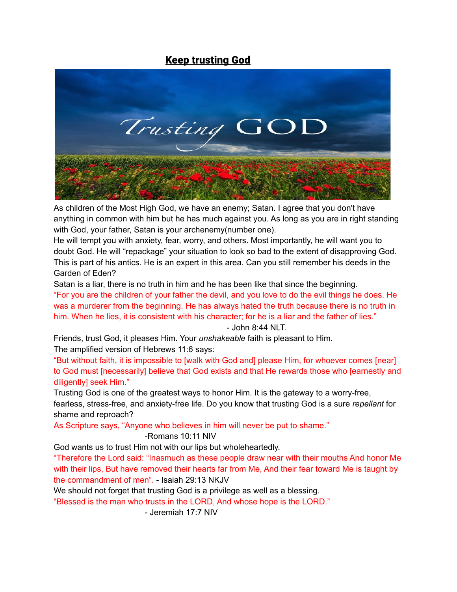# **Keep trusting God**



As children of the Most High God, we have an enemy; Satan. I agree that you don't have anything in common with him but he has much against you. As long as you are in right standing with God, your father, Satan is your archenemy(number one).

He will tempt you with anxiety, fear, worry, and others. Most importantly, he will want you to doubt God. He will "repackage" your situation to look so bad to the extent of disapproving God. This is part of his antics. He is an expert in this area. Can you still remember his deeds in the Garden of Eden?

Satan is a liar, there is no truth in him and he has been like that since the beginning. "For you are the children of your father the devil, and you love to do the evil things he does. He was a murderer from the beginning. He has always hated the truth because there is no truth in him. When he lies, it is consistent with his character; for he is a liar and the father of lies."

- John 8:44 NLT.

Friends, trust God, it pleases Him. Your *unshakeable* faith is pleasant to Him. The amplified version of Hebrews 11:6 says:

"But without faith, it is impossible to [walk with God and] please Him, for whoever comes [near] to God must [necessarily] believe that God exists and that He rewards those who [earnestly and diligently] seek Him."

Trusting God is one of the greatest ways to honor Him. It is the gateway to a worry-free, fearless, stress-free, and anxiety-free life. Do you know that trusting God is a sure *repellant* for shame and reproach?

As Scripture says, "Anyone who believes in him will never be put to shame."

#### -Romans 10:11 NIV

God wants us to trust Him not with our lips but wholeheartedly.

"Therefore the Lord said: "Inasmuch as these people draw near with their mouths And honor Me with their lips, But have removed their hearts far from Me, And their fear toward Me is taught by the commandment of men". - Isaiah 29:13 NKJV

We should not forget that trusting God is a privilege as well as a blessing.

"Blessed is the man who trusts in the LORD, And whose hope is the LORD."

- Jeremiah 17:7 NIV